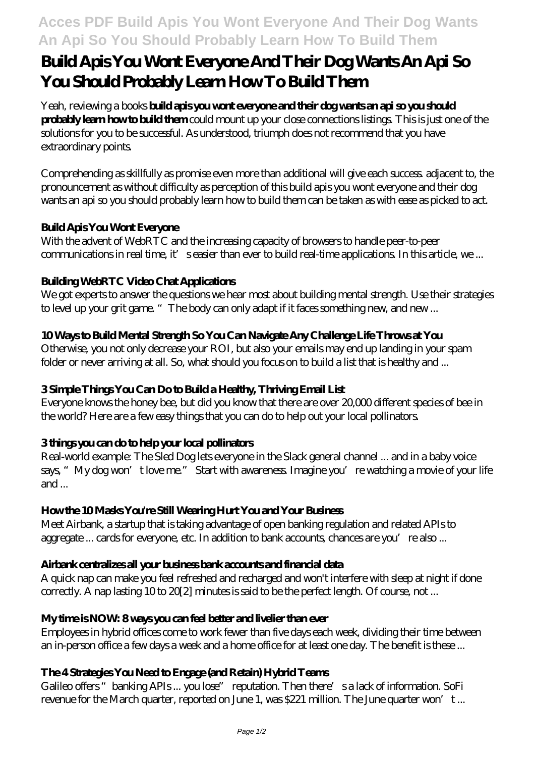# **Acces PDF Build Apis You Wont Everyone And Their Dog Wants An Api So You Should Probably Learn How To Build Them**

# **Build Apis You Wont Everyone And Their Dog Wants An Api So You Should Probably Learn How To Build Them**

Yeah, reviewing a books **build apis you wont everyone and their dog wants an api so you should probably learn how to build them** could mount up your close connections listings. This is just one of the solutions for you to be successful. As understood, triumph does not recommend that you have extraordinary points.

Comprehending as skillfully as promise even more than additional will give each success. adjacent to, the pronouncement as without difficulty as perception of this build apis you wont everyone and their dog wants an api so you should probably learn how to build them can be taken as with ease as picked to act.

## **Build Apis You Wont Everyone**

With the advent of WebRTC and the increasing capacity of browsers to handle peer-to-peer communications in real time, it' seasier than ever to build real-time applications. In this article, we ...

## **Building WebRTC Video Chat Applications**

We got experts to answer the questions we hear most about building mental strength. Use their strategies to level up your grit game. "The body can only adapt if it faces something new, and new ...

## **10 Ways to Build Mental Strength So You Can Navigate Any Challenge Life Throws at You**

Otherwise, you not only decrease your ROI, but also your emails may end up landing in your spam folder or never arriving at all. So, what should you focus on to build a list that is healthy and ...

## **3 Simple Things You Can Do to Build a Healthy, Thriving Email List**

Everyone knows the honey bee, but did you know that there are over 20,000 different species of bee in the world? Here are a few easy things that you can do to help out your local pollinators.

## **3 things you can do to help your local pollinators**

Real-world example: The Sled Dog lets everyone in the Slack general channel ... and in a baby voice says, "My dog won't love me." Start with awareness. Imagine you're watching a movie of your life and  $\ldots$ 

## **How the 10 Masks You're Still Wearing Hurt You and Your Business**

Meet Airbank, a startup that is taking advantage of open banking regulation and related APIs to aggregate ... cards for everyone, etc. In addition to bank accounts, chances are you're also ...

## **Airbank centralizes all your business bank accounts and financial data**

A quick nap can make you feel refreshed and recharged and won't interfere with sleep at night if done correctly. A nap lasting 10 to 20[2] minutes is said to be the perfect length. Of course, not ...

## **My time is NOW: 8 ways you can feel better and livelier than ever**

Employees in hybrid offices come to work fewer than five days each week, dividing their time between an in-person office a few days a week and a home office for at least one day. The benefit is these ...

## **The 4 Strategies You Need to Engage (and Retain) Hybrid Teams**

Galileo offers " banking APIs ... you lose" reputation. Then there's a lack of information. SoFi revenue for the March quarter, reported on June 1, was \$221 million. The June quarter won't ...